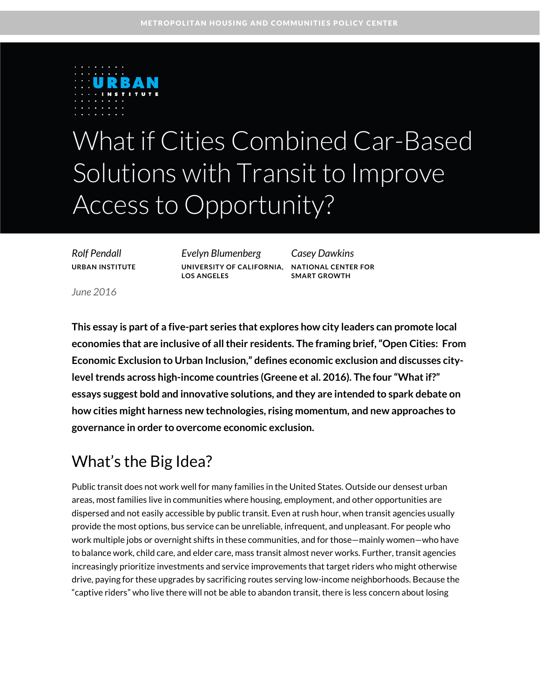

# What if Cities Combined Car-Based Solutions with Transit to Improve Access to Opportunity?

*Rolf Pendall Evelyn Blumenberg Casey Dawkins* **URBAN INSTITUTE UNIVERSITY OF CALIFORNIA, NATIONAL CENTER FOR LOS ANGELES**

**SMART GROWTH**

*June 2016*

**This essay is part of a five-part series that explores how city leaders can promote local economies that are inclusive of all their residents. The framing brief, "Open Cities: From Economic Exclusion to Urban Inclusion," defines economic exclusion and discusses citylevel trends across high-income countries (Greene et al. 2016). The four "What if?" essays suggest bold and innovative solutions, and they are intended to spark debate on how cities might harness new technologies, rising momentum, and new approaches to governance in order to overcome economic exclusion.**

## What's the Big Idea?

Public transit does not work well for many families in the United States. Outside our densest urban areas, most families live in communities where housing, employment, and other opportunities are dispersed and not easily accessible by public transit. Even at rush hour, when transit agencies usually provide the most options, bus service can be unreliable, infrequent, and unpleasant. For people who work multiple jobs or overnight shifts in these communities, and for those—mainly women—who have to balance work, child care, and elder care, mass transit almost never works. Further, transit agencies increasingly prioritize investments and service improvements that target riders who might otherwise drive, paying for these upgrades by sacrificing routes serving low-income neighborhoods. Because the "captive riders" who live there will not be able to abandon transit, there is less concern about losing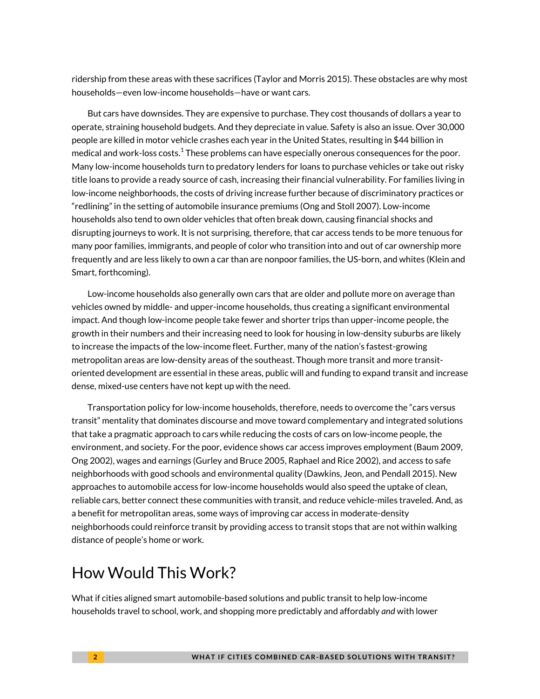ridership from these areas with these sacrifices (Taylor and Morris 2015). These obstacles are why most households—even low-income households—have or want cars.

But cars have downsides. They are expensive to purchase. They cost thousands of dollars a year to operate, straining household budgets. And they depreciate in value. Safety is also an issue. Over 30,000 people are killed in motor vehicle crashes each year in the United States, resulting in \$44 billion in medical and work-loss costs. $^1$  These problems can have especially onerous consequences for the poor. Many low-income households turn to predatory lenders for loans to purchase vehicles or take out risky title loans to provide a ready source of cash, increasing their financial vulnerability. For families living in low-income neighborhoods, the costs of driving increase further because of discriminatory practices or "redlining" in the setting of automobile insurance premiums (Ong and Stoll 2007). Low-income households also tend to own older vehicles that often break down, causing financial shocks and disrupting journeys to work. It is not surprising, therefore, that car access tends to be more tenuous for many poor families, immigrants, and people of color who transition into and out of car ownership more frequently and are less likely to own a car than are nonpoor families, the US-born, and whites (Klein and Smart, forthcoming).

Low-income households also generally own cars that are older and pollute more on average than vehicles owned by middle- and upper-income households, thus creating a significant environmental impact. And though low-income people take fewer and shorter trips than upper-income people, the growth in their numbers and their increasing need to look for housing in low-density suburbs are likely to increase the impacts of the low-income fleet. Further, many of the nation's fastest-growing metropolitan areas are low-density areas of the southeast. Though more transit and more transitoriented development are essential in these areas, public will and funding to expand transit and increase dense, mixed-use centers have not kept up with the need.

Transportation policy for low-income households, therefore, needs to overcome the "cars versus transit" mentality that dominates discourse and move toward complementary and integrated solutions that take a pragmatic approach to cars while reducing the costs of cars on low-income people, the environment, and society. For the poor, evidence shows car access improves employment (Baum 2009, Ong 2002), wages and earnings (Gurley and Bruce 2005, Raphael and Rice 2002), and access to safe neighborhoods with good schools and environmental quality (Dawkins, Jeon, and Pendall 2015). New approaches to automobile access for low-income households would also speed the uptake of clean, reliable cars, better connect these communities with transit, and reduce vehicle-miles traveled. And, as a benefit for metropolitan areas, some ways of improving car access in moderate-density neighborhoods could reinforce transit by providing access to transit stops that are not within walking distance of people's home or work.

## How Would This Work?

What if cities aligned smart automobile-based solutions and public transit to help low-income households travel to school, work, and shopping more predictably and affordably *and* with lower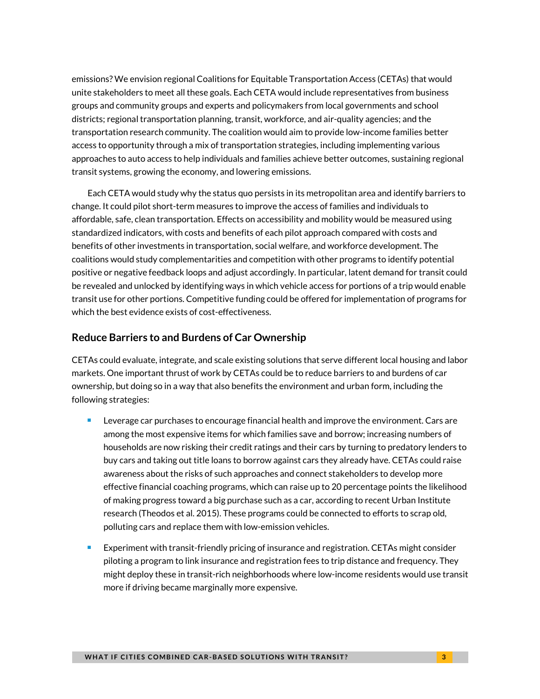emissions? We envision regional Coalitions for Equitable Transportation Access (CETAs) that would unite stakeholders to meet all these goals. Each CETA would include representatives from business groups and community groups and experts and policymakers from local governments and school districts; regional transportation planning, transit, workforce, and air-quality agencies; and the transportation research community. The coalition would aim to provide low-income families better access to opportunity through a mix of transportation strategies, including implementing various approaches to auto access to help individuals and families achieve better outcomes, sustaining regional transit systems, growing the economy, and lowering emissions.

Each CETA would study why the status quo persists in its metropolitan area and identify barriers to change. It could pilot short-term measures to improve the access of families and individuals to affordable, safe, clean transportation. Effects on accessibility and mobility would be measured using standardized indicators, with costs and benefits of each pilot approach compared with costs and benefits of other investments in transportation, social welfare, and workforce development. The coalitions would study complementarities and competition with other programs to identify potential positive or negative feedback loops and adjust accordingly. In particular, latent demand for transit could be revealed and unlocked by identifying ways in which vehicle access for portions of a trip would enable transit use for other portions. Competitive funding could be offered for implementation of programs for which the best evidence exists of cost-effectiveness.

#### **Reduce Barriers to and Burdens of Car Ownership**

CETAs could evaluate, integrate, and scale existing solutions that serve different local housing and labor markets. One important thrust of work by CETAs could be to reduce barriers to and burdens of car ownership, but doing so in a way that also benefits the environment and urban form, including the following strategies:

- **Leverage car purchases to encourage financial health and improve the environment. Cars are** among the most expensive items for which families save and borrow; increasing numbers of households are now risking their credit ratings and their cars by turning to predatory lenders to buy cars and taking out title loans to borrow against cars they already have. CETAs could raise awareness about the risks of such approaches and connect stakeholders to develop more effective financial coaching programs, which can raise up to 20 percentage points the likelihood of making progress toward a big purchase such as a car, according to recent Urban Institute research (Theodos et al. 2015). These programs could be connected to efforts to scrap old, polluting cars and replace them with low-emission vehicles.
- Experiment with transit-friendly pricing of insurance and registration. CETAs might consider piloting a program to link insurance and registration fees to trip distance and frequency. They might deploy these in transit-rich neighborhoods where low-income residents would use transit more if driving became marginally more expensive.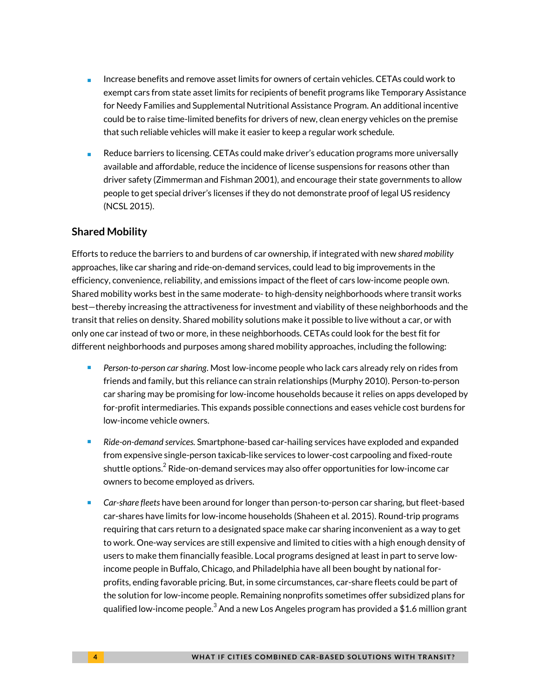- Increase benefits and remove asset limits for owners of certain vehicles. CETAs could work to exempt cars from state asset limits for recipients of benefit programs like Temporary Assistance for Needy Families and Supplemental Nutritional Assistance Program. An additional incentive could be to raise time-limited benefits for drivers of new, clean energy vehicles on the premise that such reliable vehicles will make it easier to keep a regular work schedule.
- Reduce barriers to licensing. CETAs could make driver's education programs more universally available and affordable, reduce the incidence of license suspensions for reasons other than driver safety (Zimmerman and Fishman 2001), and encourage their state governments to allow people to get special driver's licenses if they do not demonstrate proof of legal US residency (NCSL 2015).

#### **Shared Mobility**

Efforts to reduce the barriers to and burdens of car ownership, if integrated with new *shared mobility* approaches, like car sharing and ride-on-demand services, could lead to big improvements in the efficiency, convenience, reliability, and emissions impact of the fleet of cars low-income people own. Shared mobility works best in the same moderate- to high-density neighborhoods where transit works best—thereby increasing the attractiveness for investment and viability of these neighborhoods and the transit that relies on density. Shared mobility solutions make it possible to live without a car, or with only one car instead of two or more, in these neighborhoods. CETAs could look for the best fit for different neighborhoods and purposes among shared mobility approaches, including the following:

- *Person-to-person car sharing*. Most low-income people who lack cars already rely on rides from friends and family, but this reliance can strain relationships (Murphy 2010). Person-to-person car sharing may be promising for low-income households because it relies on apps developed by for-profit intermediaries. This expands possible connections and eases vehicle cost burdens for low-income vehicle owners.
- *Ride-on-demand services.* Smartphone-based car-hailing services have exploded and expanded from expensive single-person taxicab-like services to lower-cost carpooling and fixed-route shuttle options.<sup>2</sup> Ride-on-demand services may also offer opportunities for low-income car owners to become employed as drivers.
- *Car-share fleets* have been around for longer than person-to-person car sharing, but fleet-based car-shares have limits for low-income households (Shaheen et al. 2015). Round-trip programs requiring that cars return to a designated space make car sharing inconvenient as a way to get to work. One-way services are still expensive and limited to cities with a high enough density of users to make them financially feasible. Local programs designed at least in part to serve lowincome people in Buffalo, Chicago, and Philadelphia have all been bought by national forprofits, ending favorable pricing. But, in some circumstances, car-share fleets could be part of the solution for low-income people. Remaining nonprofits sometimes offer subsidized plans for qualified low-income people.<sup>3</sup> And a new Los Angeles program has provided a \$1.6 million grant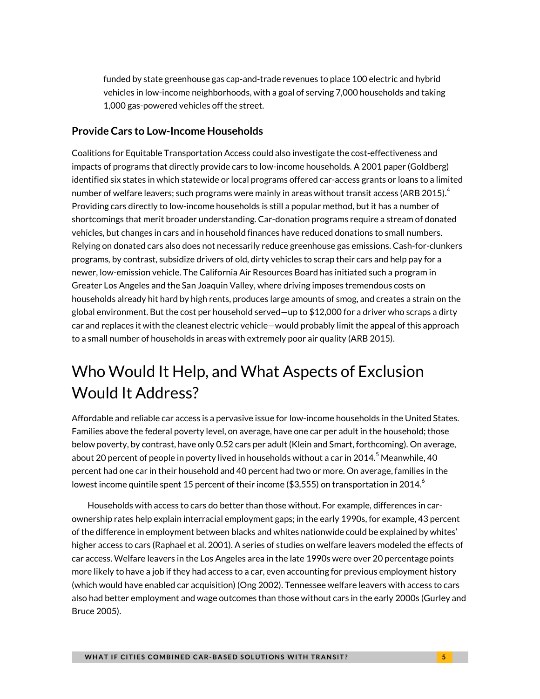funded by state greenhouse gas cap-and-trade revenues to place 100 electric and hybrid vehicles in low-income neighborhoods, with a goal of serving 7,000 households and taking 1,000 gas-powered vehicles off the street.

#### **Provide Cars to Low-Income Households**

Coalitions for Equitable Transportation Access could also investigate the cost-effectiveness and impacts of programs that directly provide cars to low-income households*.* A 2001 paper (Goldberg) identified six states in which statewide or local programs offered car-access grants or loans to a limited number of welfare leavers; such programs were mainly in areas without transit access (ARB 2015). $^{\rm 4}$ Providing cars directly to low-income households is still a popular method, but it has a number of shortcomings that merit broader understanding. Car-donation programs require a stream of donated vehicles, but changes in cars and in household finances have reduced donations to small numbers. Relying on donated cars also does not necessarily reduce greenhouse gas emissions. Cash-for-clunkers programs*,* by contrast, subsidize drivers of old, dirty vehicles to scrap their cars and help pay for a newer, low-emission vehicle. The California Air Resources Board has initiated such a program in Greater Los Angeles and the San Joaquin Valley, where driving imposes tremendous costs on households already hit hard by high rents, produces large amounts of smog, and creates a strain on the global environment. But the cost per household served—up to \$12,000 for a driver who scraps a dirty car and replaces it with the cleanest electric vehicle—would probably limit the appeal of this approach to a small number of households in areas with extremely poor air quality (ARB 2015).

# Who Would It Help, and What Aspects of Exclusion Would It Address?

Affordable and reliable car access is a pervasive issue for low-income households in the United States. Families above the federal poverty level, on average, have one car per adult in the household; those below poverty, by contrast, have only 0.52 cars per adult (Klein and Smart, forthcoming). On average, about 20 percent of people in poverty lived in households without a car in 2014. $^5$  Meanwhile, 40  $\,$ percent had one car in their household and 40 percent had two or more. On average, families in the lowest income quintile spent 15 percent of their income (\$3,555) on transportation in 2014. $^{\circ}$ 

Households with access to cars do better than those without. For example, differences in carownership rates help explain interracial employment gaps; in the early 1990s, for example, 43 percent of the difference in employment between blacks and whites nationwide could be explained by whites' higher access to cars (Raphael et al. 2001). A series of studies on welfare leavers modeled the effects of car access. Welfare leavers in the Los Angeles area in the late 1990s were over 20 percentage points more likely to have a job if they had access to a car, even accounting for previous employment history (which would have enabled car acquisition) (Ong 2002). Tennessee welfare leavers with access to cars also had better employment and wage outcomes than those without cars in the early 2000s (Gurley and Bruce 2005).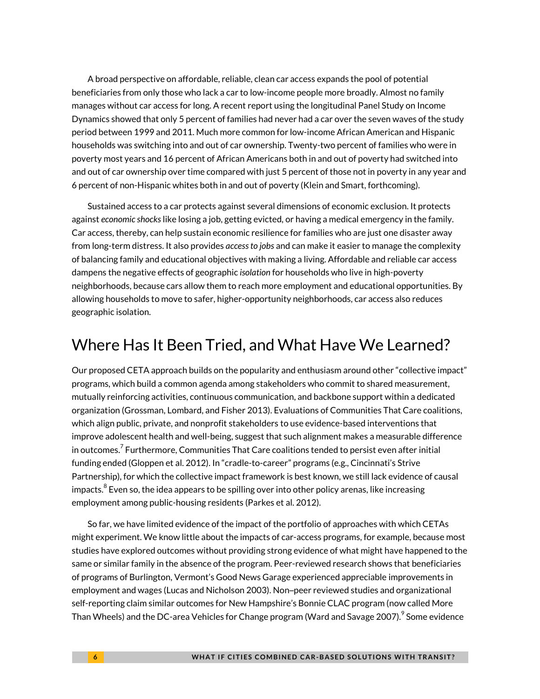A broad perspective on affordable, reliable, clean car access expands the pool of potential beneficiaries from only those who lack a car to low-income people more broadly. Almost no family manages without car access for long. A recent report using the longitudinal Panel Study on Income Dynamics showed that only 5 percent of families had never had a car over the seven waves of the study period between 1999 and 2011. Much more common for low-income African American and Hispanic households was switching into and out of car ownership. Twenty-two percent of families who were in poverty most years and 16 percent of African Americans both in and out of poverty had switched into and out of car ownership over time compared with just 5 percent of those not in poverty in any year and 6 percent of non-Hispanic whites both in and out of poverty (Klein and Smart, forthcoming).

Sustained access to a car protects against several dimensions of economic exclusion. It protects against *economic shocks*like losing a job, getting evicted, or having a medical emergency in the family. Car access, thereby, can help sustain economic resilience for families who are just one disaster away from long-term distress. It also provides *access to jobs* and can make it easier to manage the complexity of balancing family and educational objectives with making a living. Affordable and reliable car access dampens the negative effects of geographic *isolation* for households who live in high-poverty neighborhoods, because cars allow them to reach more employment and educational opportunities. By allowing households to move to safer, higher-opportunity neighborhoods, car access also reduces geographic isolation.

## Where Has It Been Tried, and What Have We Learned?

Our proposed CETA approach builds on the popularity and enthusiasm around other "collective impact" programs, which build a common agenda among stakeholders who commit to shared measurement, mutually reinforcing activities, continuous communication, and backbone support within a dedicated organization (Grossman, Lombard, and Fisher 2013). Evaluations of Communities That Care coalitions, which align public, private, and nonprofit stakeholders to use evidence-based interventions that improve adolescent health and well-being, suggest that such alignment makes a measurable difference in outcomes. $\mathrm{^{7}}$  Furthermore, Communities That Care coalitions tended to persist even after initial funding ended (Gloppen et al. 2012). In "cradle-to-career" programs (e.g., Cincinnati's Strive Partnership), for which the collective impact framework is best known, we still lack evidence of causal impacts. $^8$  Even so, the idea appears to be spilling over into other policy arenas, like increasing employment among public-housing residents (Parkes et al. 2012).

So far, we have limited evidence of the impact of the portfolio of approaches with which CETAs might experiment. We know little about the impacts of car-access programs, for example, because most studies have explored outcomes without providing strong evidence of what might have happened to the same or similar family in the absence of the program. Peer-reviewed research shows that beneficiaries of programs of Burlington, Vermont's Good News Garage experienced appreciable improvements in employment and wages (Lucas and Nicholson 2003). Non–peer reviewed studies and organizational self-reporting claim similar outcomes for New Hampshire's Bonnie CLAC program (now called More Than Wheels) and the DC-area Vehicles for Change program (Ward and Savage 2007). $^9$  Some evidence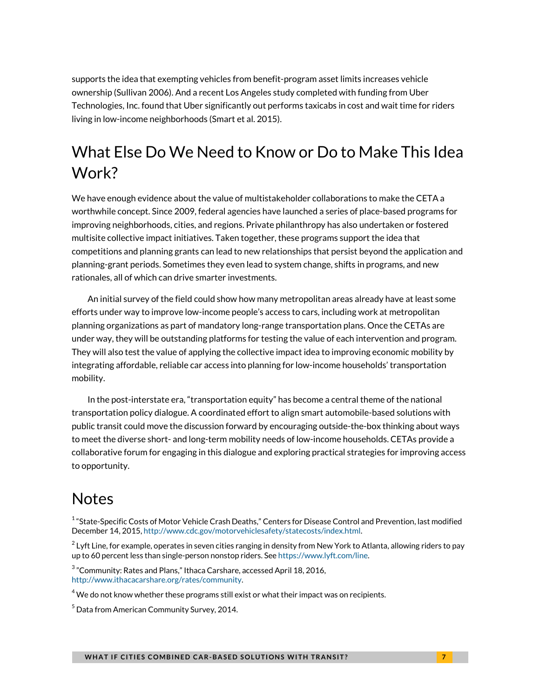supports the idea that exempting vehicles from benefit-program asset limits increases vehicle ownership (Sullivan 2006). And a recent Los Angeles study completed with funding from Uber Technologies, Inc. found that Uber significantly out performs taxicabs in cost and wait time for riders living in low-income neighborhoods (Smart et al. 2015).

# What Else Do We Need to Know or Do to Make This Idea Work?

We have enough evidence about the value of multistakeholder collaborations to make the CETA a worthwhile concept. Since 2009, federal agencies have launched a series of place-based programs for improving neighborhoods, cities, and regions. Private philanthropy has also undertaken or fostered multisite collective impact initiatives. Taken together, these programs support the idea that competitions and planning grants can lead to new relationships that persist beyond the application and planning-grant periods. Sometimes they even lead to system change, shifts in programs, and new rationales, all of which can drive smarter investments.

An initial survey of the field could show how many metropolitan areas already have at least some efforts under way to improve low-income people's access to cars, including work at metropolitan planning organizations as part of mandatory long-range transportation plans. Once the CETAs are under way, they will be outstanding platforms for testing the value of each intervention and program. They will also test the value of applying the collective impact idea to improving economic mobility by integrating affordable, reliable car access into planning for low-income households' transportation mobility.

In the post-interstate era, "transportation equity" has become a central theme of the national transportation policy dialogue. A coordinated effort to align smart automobile-based solutions with public transit could move the discussion forward by encouraging outside-the-box thinking about ways to meet the diverse short- and long-term mobility needs of low-income households. CETAs provide a collaborative forum for engaging in this dialogue and exploring practical strategies for improving access to opportunity.

## **Notes**

 $^{\rm 1}$  "State-Specific Costs of Motor Vehicle Crash Deaths," Centers for Disease Control and Prevention, last modified December 14, 2015[, http://www.cdc.gov/motorvehiclesafety/statecosts/index.html.](http://www.cdc.gov/motorvehiclesafety/statecosts/index.html)

 $^2$  Lyft Line, for example, operates in seven cities ranging in density from New York to Atlanta, allowing riders to pay up to 60 percent less than single-person nonstop riders. See [https://www.lyft.com/line.](https://www.lyft.com/line)

 $3$  "Community: Rates and Plans," Ithaca Carshare, accessed April 18, 2016, [http://www.ithacacarshare.org/rates/community.](http://www.ithacacarshare.org/rates/community)

 $4$  We do not know whether these programs still exist or what their impact was on recipients.

 $^5$  Data from American Community Survey, 2014.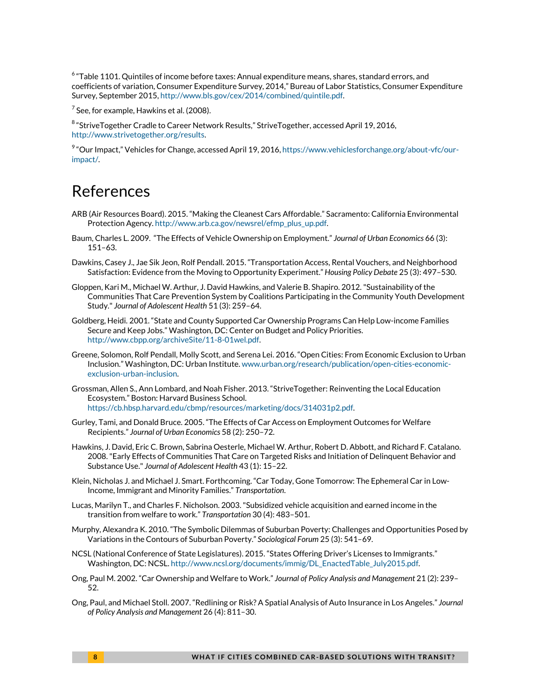$^6$  "Table 1101. Quintiles of income before taxes: Annual expenditure means, shares, standard errors, and coefficients of variation, Consumer Expenditure Survey, 2014," Bureau of Labor Statistics, Consumer Expenditure Survey, September 2015[, http://www.bls.gov/cex/2014/combined/quintile.pdf.](http://www.bls.gov/cex/2014/combined/quintile.pdf)

 $7$  See, for example, Hawkins et al. (2008).

 $^8$  "StriveTogether Cradle to Career Network Results," StriveTogether, accessed April 19, 2016, [http://www.strivetogether.org/results.](http://www.strivetogether.org/results)

 $9$  "Our Impact," Vehicles for Change, accessed April 19, 2016, [https://www.vehiclesforchange.org/about-vfc/our](https://www.vehiclesforchange.org/about-vfc/our-impact/)[impact/.](https://www.vehiclesforchange.org/about-vfc/our-impact/)

#### References

- ARB (Air Resources Board). 2015. "Making the Cleanest Cars Affordable." Sacramento: California Environmental Protection Agency[. http://www.arb.ca.gov/newsrel/efmp\\_plus\\_up.pdf.](http://www.arb.ca.gov/newsrel/efmp_plus_up.pdf)
- Baum, Charles L. 2009. "The Effects of Vehicle Ownership on Employment." *Journal of Urban Economics* 66 (3): 151–63.
- Dawkins, Casey J., Jae Sik Jeon, Rolf Pendall. 2015. "Transportation Access, Rental Vouchers, and Neighborhood Satisfaction: Evidence from the Moving to Opportunity Experiment." *Housing Policy Debate* 25 (3): 497–530.
- Gloppen, Kari M., Michael W. Arthur, J. David Hawkins, and Valerie B. Shapiro. 2012. "Sustainability of the Communities That Care Prevention System by Coalitions Participating in the Community Youth Development Study." *Journal of Adolescent Health* 51 (3): 259–64.
- Goldberg, Heidi. 2001. "State and County Supported Car Ownership Programs Can Help Low-income Families Secure and Keep Jobs." Washington, DC: Center on Budget and Policy Priorities. http://www.cbpp.org/archiveSite/11-8-01wel.pdf.
- Greene, Solomon, Rolf Pendall, Molly Scott, and Serena Lei. 2016. "Open Cities: From Economic Exclusion to Urban Inclusion." Washington, DC: Urban Institute. [www.urban.org/research/publication/open-cities-economic](http://www.urban.org/research/publication/open-cities-economic-exclusion-urban-inclusion)[exclusion-urban-inclusion.](http://www.urban.org/research/publication/open-cities-economic-exclusion-urban-inclusion)
- Grossman, Allen S., Ann Lombard, and Noah Fisher. 2013. "StriveTogether: Reinventing the Local Education Ecosystem." Boston: Harvard Business School. [https://cb.hbsp.harvard.edu/cbmp/resources/marketing/docs/314031p2.pdf.](https://cb.hbsp.harvard.edu/cbmp/resources/marketing/docs/314031p2.pdf)
- Gurley, Tami, and Donald Bruce. 2005. "The Effects of Car Access on Employment Outcomes for Welfare Recipients." *Journal of Urban Economics* 58 (2): 250–72.
- Hawkins, J. David, Eric C. Brown, Sabrina Oesterle, Michael W. Arthur, Robert D. Abbott, and Richard F. Catalano. 2008. "Early Effects of Communities That Care on Targeted Risks and Initiation of Delinquent Behavior and Substance Use." *Journal of Adolescent Health* 43 (1): 15–22.
- Klein, Nicholas J. and Michael J. Smart. Forthcoming. "Car Today, Gone Tomorrow: The Ephemeral Car in Low-Income, Immigrant and Minority Families." *Transportation*.
- Lucas, Marilyn T., and Charles F. Nicholson. 2003. "Subsidized vehicle acquisition and earned income in the transition from welfare to work." *Transportation* 30 (4): 483–501.
- Murphy, Alexandra K. 2010. "The Symbolic Dilemmas of Suburban Poverty: Challenges and Opportunities Posed by Variations in the Contours of Suburban Poverty." *Sociological Forum* 25 (3): 541–69.
- NCSL (National Conference of State Legislatures). 2015. "States Offering Driver's Licenses to Immigrants." Washington, DC: NCSL[. http://www.ncsl.org/documents/immig/DL\\_EnactedTable\\_July2015.pdf.](http://www.ncsl.org/documents/immig/DL_EnactedTable_July2015.pdf)
- Ong, Paul M. 2002. "Car Ownership and Welfare to Work." *Journal of Policy Analysis and Management* 21 (2): 239– 52.
- Ong, Paul, and Michael Stoll. 2007. "Redlining or Risk? A Spatial Analysis of Auto Insurance in Los Angeles." *Journal of Policy Analysis and Management* 26 (4): 811–30.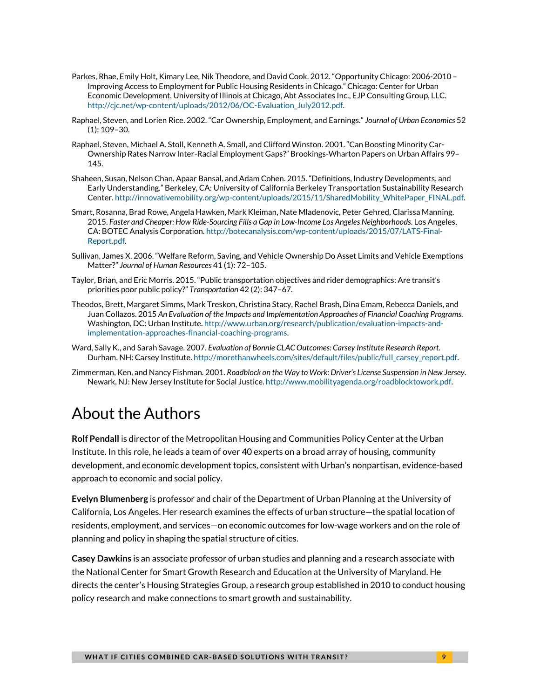- Parkes, Rhae, Emily Holt, Kimary Lee, Nik Theodore, and David Cook. 2012. "Opportunity Chicago: 2006-2010 Improving Access to Employment for Public Housing Residents in Chicago." Chicago: Center for Urban Economic Development, University of Illinois at Chicago, Abt Associates Inc., EJP Consulting Group, LLC. [http://cjc.net/wp-content/uploads/2012/06/OC-Evaluation\\_July2012.pdf.](http://cjc.net/wp-content/uploads/2012/06/OC-Evaluation_July2012.pdf)
- Raphael, Steven, and Lorien Rice. 2002. "Car Ownership, Employment, and Earnings." *Journal of Urban Economics* 52 (1): 109–30.
- Raphael, Steven, Michael A. Stoll, Kenneth A. Small, and Clifford Winston. 2001. "Can Boosting Minority Car-Ownership Rates Narrow Inter-Racial Employment Gaps?" Brookings-Wharton Papers on Urban Affairs 99– 145.
- Shaheen, Susan, Nelson Chan, Apaar Bansal, and Adam Cohen. 2015. "Definitions, Industry Developments, and Early Understanding." Berkeley, CA: University of California Berkeley Transportation Sustainability Research Center[. http://innovativemobility.org/wp-content/uploads/2015/11/SharedMobility\\_WhitePaper\\_FINAL.pdf.](http://innovativemobility.org/wp-content/uploads/2015/11/SharedMobility_WhitePaper_FINAL.pdf)
- Smart, Rosanna, Brad Rowe, Angela Hawken, Mark Kleiman, Nate Mladenovic, Peter Gehred, Clarissa Manning. 2015. *Faster and Cheaper: How Ride-Sourcing Fills a Gap in Low-Income Los Angeles Neighborhoods*. Los Angeles, CA: BOTEC Analysis Corporation[. http://botecanalysis.com/wp-content/uploads/2015/07/LATS-Final-](http://botecanalysis.com/wp-content/uploads/2015/07/LATS-Final-Report.pdf)[Report.pdf.](http://botecanalysis.com/wp-content/uploads/2015/07/LATS-Final-Report.pdf)
- Sullivan, James X. 2006. "Welfare Reform, Saving, and Vehicle Ownership Do Asset Limits and Vehicle Exemptions Matter?" *Journal of Human Resources* 41 (1): 72–105.
- Taylor, Brian, and Eric Morris. 2015. "Public transportation objectives and rider demographics: Are transit's priorities poor public policy?" *Transportation* 42 (2): 347–67.
- Theodos, Brett, Margaret Simms, Mark Treskon, Christina Stacy, Rachel Brash, Dina Emam, Rebecca Daniels, and Juan Collazos. 2015 *An Evaluation of the Impacts and Implementation Approaches of Financial Coaching Programs*. Washington, DC: Urban Institute[. http://www.urban.org/research/publication/evaluation-impacts-and](http://www.urban.org/research/publication/evaluation-impacts-and-implementation-approaches-financial-coaching-programs)[implementation-approaches-financial-coaching-programs.](http://www.urban.org/research/publication/evaluation-impacts-and-implementation-approaches-financial-coaching-programs)
- Ward, Sally K., and Sarah Savage. 2007. *Evaluation of Bonnie CLAC Outcomes: Carsey Institute Research Report*. Durham, NH: Carsey Institute. http://morethanwheels.com/sites/default/files/public/full\_carsey\_report.pdf.
- Zimmerman, Ken, and Nancy Fishman. 2001. *Roadblock on the Way to Work: Driver's License Suspension in New Jersey*. Newark, NJ: New Jersey Institute for Social Justice. http://www.mobilityagenda.org/roadblocktowork.pdf.

## About the Authors

**Rolf Pendall** is director of the Metropolitan Housing and Communities Policy Center at the Urban Institute. In this role, he leads a team of over 40 experts on a broad array of housing, community development, and economic development topics, consistent with Urban's nonpartisan, evidence-based approach to economic and social policy.

**Evelyn Blumenberg** is professor and chair of the Department of Urban Planning at the University of California, Los Angeles. Her research examines the effects of urban structure—the spatial location of residents, employment, and services—on economic outcomes for low-wage workers and on the role of planning and policy in shaping the spatial structure of cities.

**Casey Dawkins** is an associate professor of urban studies and planning and a research associate with the National Center for Smart Growth Research and Education at the University of Maryland. He directs the center's Housing Strategies Group, a research group established in 2010 to conduct housing policy research and make connections to smart growth and sustainability.